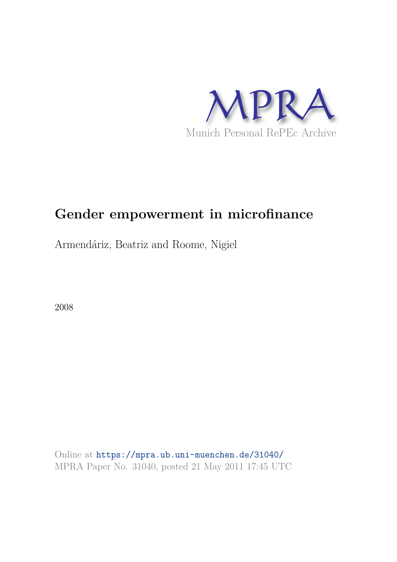

# **Gender empowerment in microfinance**

Armendáriz, Beatriz and Roome, Nigiel

2008

Online at https://mpra.ub.uni-muenchen.de/31040/ MPRA Paper No. 31040, posted 21 May 2011 17:45 UTC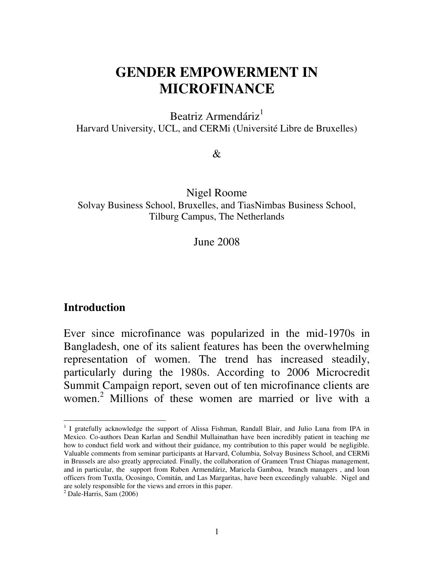# **GENDER EMPOWERMENT IN MICROFINANCE**

Beatriz Armendáriz $1$ Harvard University, UCL, and CERMi (Université Libre de Bruxelles)

&

Nigel Roome Solvay Business School, Bruxelles, and TiasNimbas Business School, Tilburg Campus, The Netherlands

June 2008

#### **Introduction**

Ever since microfinance was popularized in the mid-1970s in Bangladesh, one of its salient features has been the overwhelming representation of women. The trend has increased steadily, particularly during the 1980s. According to 2006 Microcredit Summit Campaign report, seven out of ten microfinance clients are women. 2 Millions of these women are married or live with a

 $\overline{a}$ <sup>1</sup> I gratefully acknowledge the support of Alissa Fishman, Randall Blair, and Julio Luna from IPA in Mexico. Co-authors Dean Karlan and Sendhil Mullainathan have been incredibly patient in teaching me how to conduct field work and without their guidance, my contribution to this paper would be negligible. Valuable comments from seminar participants at Harvard, Columbia, Solvay Business School, and CERMi in Brussels are also greatly appreciated. Finally, the collaboration of Grameen Trust Chiapas management, and in particular, the support from Ruben Armendáriz, Maricela Gamboa, branch managers , and loan officers from Tuxtla, Ocosingo, Comitán, and Las Margaritas, have been exceedingly valuable. Nigel and are solely responsible for the views and errors in this paper.

 $<sup>2</sup>$  Dale-Harris, Sam (2006)</sup>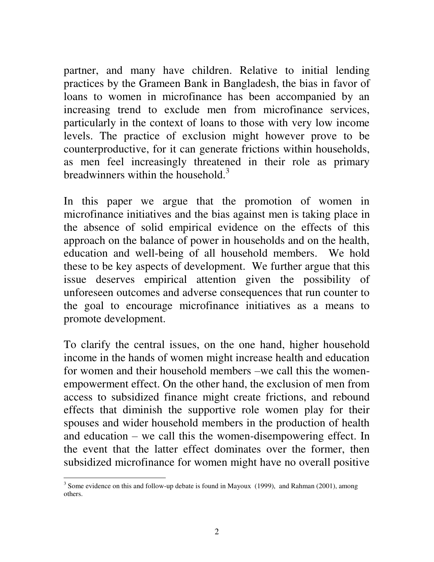partner, and many have children. Relative to initial lending practices by the Grameen Bank in Bangladesh, the bias in favor of loans to women in microfinance has been accompanied by an increasing trend to exclude men from microfinance services, particularly in the context of loans to those with very low income levels. The practice of exclusion might however prove to be counterproductive, for it can generate frictions within households, as men feel increasingly threatened in their role as primary breadwinners within the household. $3$ 

In this paper we argue that the promotion of women in microfinance initiatives and the bias against men is taking place in the absence of solid empirical evidence on the effects of this approach on the balance of power in households and on the health, education and well-being of all household members. We hold these to be key aspects of development. We further argue that this issue deserves empirical attention given the possibility of unforeseen outcomes and adverse consequences that run counter to the goal to encourage microfinance initiatives as a means to promote development.

To clarify the central issues, on the one hand, higher household income in the hands of women might increase health and education for women and their household members –we call this the womenempowerment effect. On the other hand, the exclusion of men from access to subsidized finance might create frictions, and rebound effects that diminish the supportive role women play for their spouses and wider household members in the production of health and education – we call this the women-disempowering effect. In the event that the latter effect dominates over the former, then subsidized microfinance for women might have no overall positive

 $\overline{a}$  $3$  Some evidence on this and follow-up debate is found in Mayoux (1999), and Rahman (2001), among others.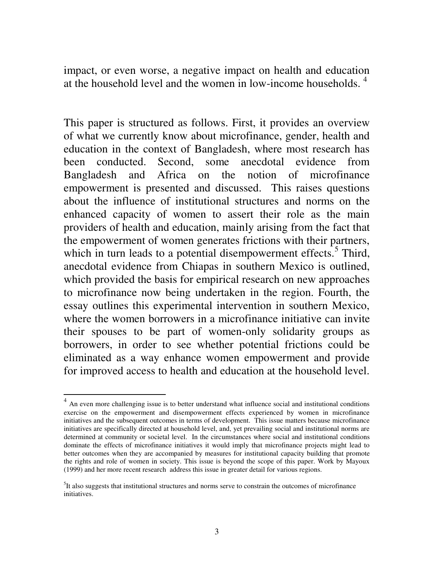impact, or even worse, a negative impact on health and education at the household level and the women in low-income households.  $4\overline{ }$ 

This paper is structured as follows. First, it provides an overview of what we currently know about microfinance, gender, health and education in the context of Bangladesh, where most research has been conducted. Second, some anecdotal evidence from Bangladesh and Africa on the notion of microfinance empowerment is presented and discussed. This raises questions about the influence of institutional structures and norms on the enhanced capacity of women to assert their role as the main providers of health and education, mainly arising from the fact that the empowerment of women generates frictions with their partners, which in turn leads to a potential disempowerment effects.<sup>5</sup> Third, anecdotal evidence from Chiapas in southern Mexico is outlined, which provided the basis for empirical research on new approaches to microfinance now being undertaken in the region. Fourth, the essay outlines this experimental intervention in southern Mexico, where the women borrowers in a microfinance initiative can invite their spouses to be part of women-only solidarity groups as borrowers, in order to see whether potential frictions could be eliminated as a way enhance women empowerment and provide for improved access to health and education at the household level.

 $\overline{a}$ 

<sup>&</sup>lt;sup>4</sup> An even more challenging issue is to better understand what influence social and institutional conditions exercise on the empowerment and disempowerment effects experienced by women in microfinance initiatives and the subsequent outcomes in terms of development. This issue matters because microfinance initiatives are specifically directed at household level, and, yet prevailing social and institutional norms are determined at community or societal level. In the circumstances where social and institutional conditions dominate the effects of microfinance initiatives it would imply that microfinance projects might lead to better outcomes when they are accompanied by measures for institutional capacity building that promote the rights and role of women in society. This issue is beyond the scope of this paper. Work by Mayoux (1999) and her more recent research address this issue in greater detail for various regions.

<sup>&</sup>lt;sup>5</sup>It also suggests that institutional structures and norms serve to constrain the outcomes of microfinance initiatives.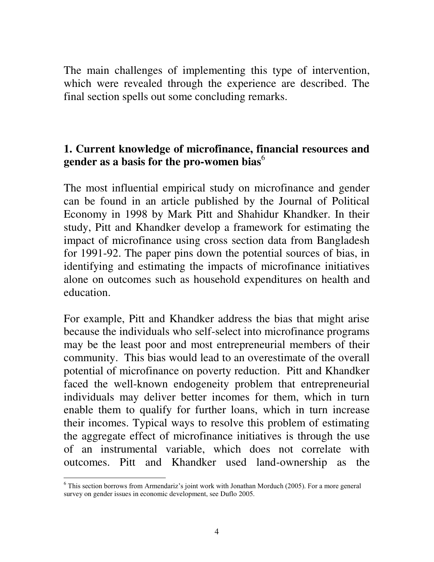The main challenges of implementing this type of intervention, which were revealed through the experience are described. The final section spells out some concluding remarks.

#### **1. Current knowledge of microfinance, financial resources and**  gender as a basis for the pro-women bias<sup>6</sup>

The most influential empirical study on microfinance and gender can be found in an article published by the Journal of Political Economy in 1998 by Mark Pitt and Shahidur Khandker. In their study, Pitt and Khandker develop a framework for estimating the impact of microfinance using cross section data from Bangladesh for 1991-92. The paper pins down the potential sources of bias, in identifying and estimating the impacts of microfinance initiatives alone on outcomes such as household expenditures on health and education.

For example, Pitt and Khandker address the bias that might arise because the individuals who self-select into microfinance programs may be the least poor and most entrepreneurial members of their community. This bias would lead to an overestimate of the overall potential of microfinance on poverty reduction. Pitt and Khandker faced the well-known endogeneity problem that entrepreneurial individuals may deliver better incomes for them, which in turn enable them to qualify for further loans, which in turn increase their incomes. Typical ways to resolve this problem of estimating the aggregate effect of microfinance initiatives is through the use of an instrumental variable, which does not correlate with outcomes. Pitt and Khandker used land-ownership as the

 $\overline{a}$  $6$  This section borrows from Armendariz's joint work with Jonathan Morduch (2005). For a more general survey on gender issues in economic development, see Duflo 2005.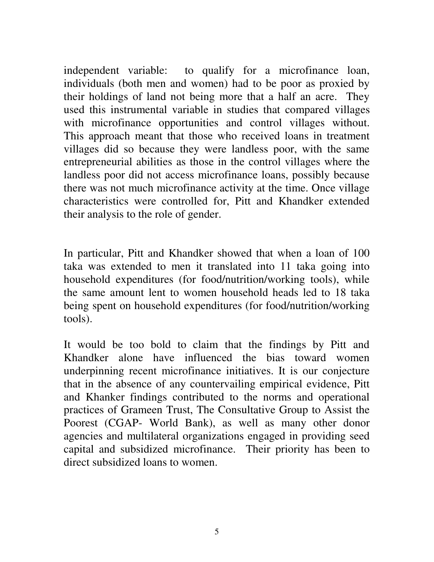independent variable: to qualify for a microfinance loan, individuals (both men and women) had to be poor as proxied by their holdings of land not being more that a half an acre. They used this instrumental variable in studies that compared villages with microfinance opportunities and control villages without. This approach meant that those who received loans in treatment villages did so because they were landless poor, with the same entrepreneurial abilities as those in the control villages where the landless poor did not access microfinance loans, possibly because there was not much microfinance activity at the time. Once village characteristics were controlled for, Pitt and Khandker extended their analysis to the role of gender.

In particular, Pitt and Khandker showed that when a loan of 100 taka was extended to men it translated into 11 taka going into household expenditures (for food/nutrition/working tools), while the same amount lent to women household heads led to 18 taka being spent on household expenditures (for food/nutrition/working tools).

It would be too bold to claim that the findings by Pitt and Khandker alone have influenced the bias toward women underpinning recent microfinance initiatives. It is our conjecture that in the absence of any countervailing empirical evidence, Pitt and Khanker findings contributed to the norms and operational practices of Grameen Trust, The Consultative Group to Assist the Poorest (CGAP- World Bank), as well as many other donor agencies and multilateral organizations engaged in providing seed capital and subsidized microfinance. Their priority has been to direct subsidized loans to women.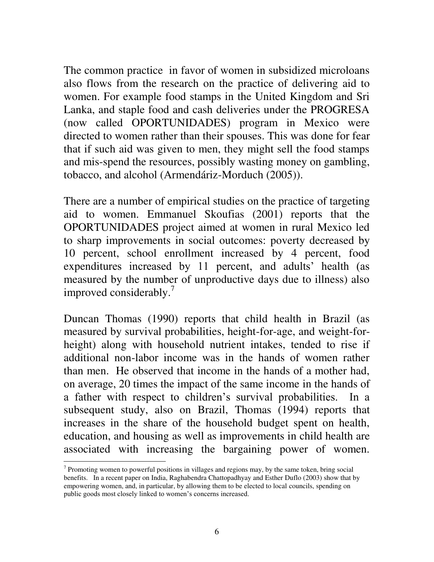The common practice in favor of women in subsidized microloans also flows from the research on the practice of delivering aid to women. For example food stamps in the United Kingdom and Sri Lanka, and staple food and cash deliveries under the PROGRESA (now called OPORTUNIDADES) program in Mexico were directed to women rather than their spouses. This was done for fear that if such aid was given to men, they might sell the food stamps and mis-spend the resources, possibly wasting money on gambling, tobacco, and alcohol (Armendáriz-Morduch (2005)).

There are a number of empirical studies on the practice of targeting aid to women. Emmanuel Skoufias (2001) reports that the OPORTUNIDADES project aimed at women in rural Mexico led to sharp improvements in social outcomes: poverty decreased by 10 percent, school enrollment increased by 4 percent, food expenditures increased by 11 percent, and adults' health (as measured by the number of unproductive days due to illness) also improved considerably. $\frac{7}{7}$ 

Duncan Thomas (1990) reports that child health in Brazil (as measured by survival probabilities, height-for-age, and weight-forheight) along with household nutrient intakes, tended to rise if additional non-labor income was in the hands of women rather than men. He observed that income in the hands of a mother had, on average, 20 times the impact of the same income in the hands of a father with respect to children"s survival probabilities. In a subsequent study, also on Brazil, Thomas (1994) reports that increases in the share of the household budget spent on health, education, and housing as well as improvements in child health are associated with increasing the bargaining power of women.

<sup>&</sup>lt;sup>7</sup> Promoting women to powerful positions in villages and regions may, by the same token, bring social benefits. In a recent paper on India, Raghabendra Chattopadhyay and Esther Duflo (2003) show that by empowering women, and, in particular, by allowing them to be elected to local councils, spending on public goods most closely linked to women"s concerns increased.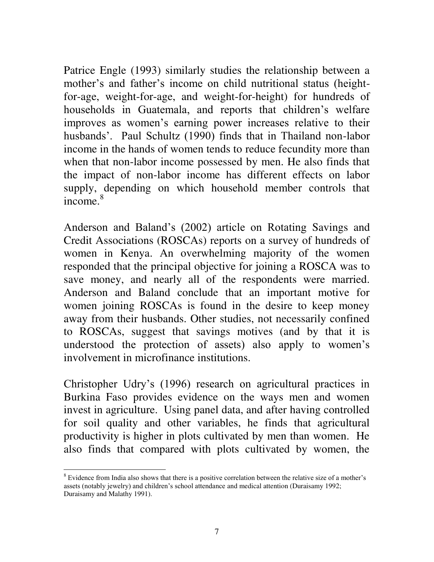Patrice Engle (1993) similarly studies the relationship between a mother's and father's income on child nutritional status (heightfor-age, weight-for-age, and weight-for-height) for hundreds of households in Guatemala, and reports that children's welfare improves as women"s earning power increases relative to their husbands'. Paul Schultz (1990) finds that in Thailand non-labor income in the hands of women tends to reduce fecundity more than when that non-labor income possessed by men. He also finds that the impact of non-labor income has different effects on labor supply, depending on which household member controls that income.<sup>8</sup>

Anderson and Baland"s (2002) article on Rotating Savings and Credit Associations (ROSCAs) reports on a survey of hundreds of women in Kenya. An overwhelming majority of the women responded that the principal objective for joining a ROSCA was to save money, and nearly all of the respondents were married. Anderson and Baland conclude that an important motive for women joining ROSCAs is found in the desire to keep money away from their husbands. Other studies, not necessarily confined to ROSCAs, suggest that savings motives (and by that it is understood the protection of assets) also apply to women"s involvement in microfinance institutions.

Christopher Udry"s (1996) research on agricultural practices in Burkina Faso provides evidence on the ways men and women invest in agriculture. Using panel data, and after having controlled for soil quality and other variables, he finds that agricultural productivity is higher in plots cultivated by men than women. He also finds that compared with plots cultivated by women, the

 $\overline{a}$ <sup>8</sup> Evidence from India also shows that there is a positive correlation between the relative size of a mother's assets (notably jewelry) and children"s school attendance and medical attention (Duraisamy 1992; Duraisamy and Malathy 1991).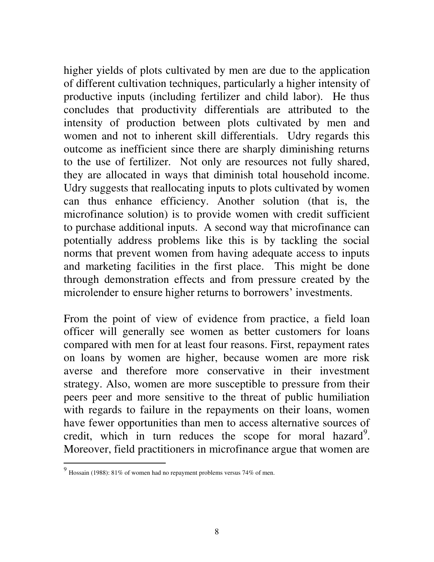higher yields of plots cultivated by men are due to the application of different cultivation techniques, particularly a higher intensity of productive inputs (including fertilizer and child labor). He thus concludes that productivity differentials are attributed to the intensity of production between plots cultivated by men and women and not to inherent skill differentials. Udry regards this outcome as inefficient since there are sharply diminishing returns to the use of fertilizer. Not only are resources not fully shared, they are allocated in ways that diminish total household income. Udry suggests that reallocating inputs to plots cultivated by women can thus enhance efficiency. Another solution (that is, the microfinance solution) is to provide women with credit sufficient to purchase additional inputs. A second way that microfinance can potentially address problems like this is by tackling the social norms that prevent women from having adequate access to inputs and marketing facilities in the first place. This might be done through demonstration effects and from pressure created by the microlender to ensure higher returns to borrowers' investments.

From the point of view of evidence from practice, a field loan officer will generally see women as better customers for loans compared with men for at least four reasons. First, repayment rates on loans by women are higher, because women are more risk averse and therefore more conservative in their investment strategy. Also, women are more susceptible to pressure from their peers peer and more sensitive to the threat of public humiliation with regards to failure in the repayments on their loans, women have fewer opportunities than men to access alternative sources of credit, which in turn reduces the scope for moral hazard<sup>9</sup>. Moreover, field practitioners in microfinance argue that women are

 $\overline{a}$ 

<sup>&</sup>lt;sup>9</sup> Hossain (1988): 81% of women had no repayment problems versus 74% of men.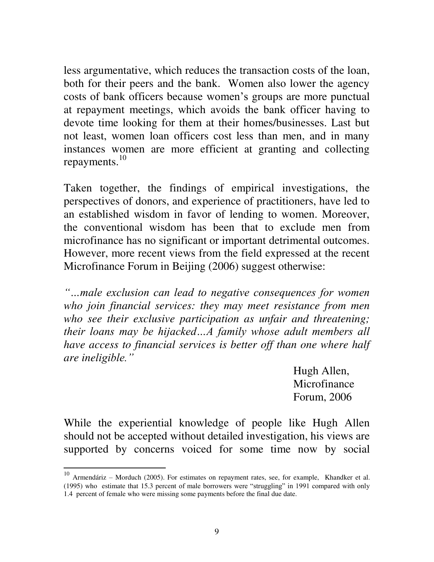less argumentative, which reduces the transaction costs of the loan, both for their peers and the bank. Women also lower the agency costs of bank officers because women"s groups are more punctual at repayment meetings, which avoids the bank officer having to devote time looking for them at their homes/businesses. Last but not least, women loan officers cost less than men, and in many instances women are more efficient at granting and collecting repayments. $^{10}$ 

Taken together, the findings of empirical investigations, the perspectives of donors, and experience of practitioners, have led to an established wisdom in favor of lending to women. Moreover, the conventional wisdom has been that to exclude men from microfinance has no significant or important detrimental outcomes. However, more recent views from the field expressed at the recent Microfinance Forum in Beijing (2006) suggest otherwise:

*"…male exclusion can lead to negative consequences for women who join financial services: they may meet resistance from men who see their exclusive participation as unfair and threatening; their loans may be hijacked…A family whose adult members all have access to financial services is better off than one where half are ineligible."*

> Hugh Allen, Microfinance Forum, 2006

While the experiential knowledge of people like Hugh Allen should not be accepted without detailed investigation, his views are supported by concerns voiced for some time now by social

 $\overline{a}$ 

 $10$  Armendáriz – Morduch (2005). For estimates on repayment rates, see, for example, Khandker et al. (1995) who estimate that 15.3 percent of male borrowers were "struggling" in 1991 compared with only 1.4 percent of female who were missing some payments before the final due date.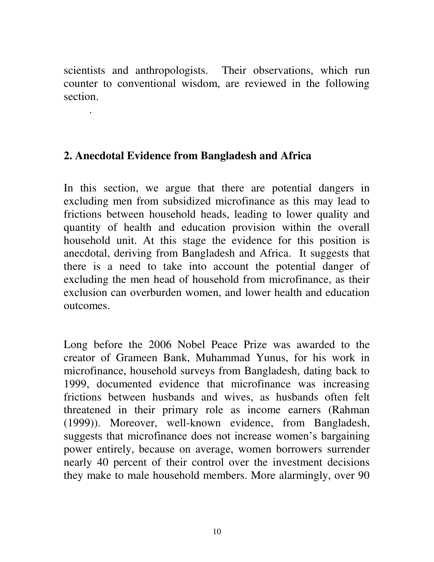scientists and anthropologists. Their observations, which run counter to conventional wisdom, are reviewed in the following section.

## **2. Anecdotal Evidence from Bangladesh and Africa**

.

In this section, we argue that there are potential dangers in excluding men from subsidized microfinance as this may lead to frictions between household heads, leading to lower quality and quantity of health and education provision within the overall household unit. At this stage the evidence for this position is anecdotal, deriving from Bangladesh and Africa. It suggests that there is a need to take into account the potential danger of excluding the men head of household from microfinance, as their exclusion can overburden women, and lower health and education outcomes.

Long before the 2006 Nobel Peace Prize was awarded to the creator of Grameen Bank, Muhammad Yunus, for his work in microfinance, household surveys from Bangladesh, dating back to 1999, documented evidence that microfinance was increasing frictions between husbands and wives, as husbands often felt threatened in their primary role as income earners (Rahman (1999)). Moreover, well-known evidence, from Bangladesh, suggests that microfinance does not increase women"s bargaining power entirely, because on average, women borrowers surrender nearly 40 percent of their control over the investment decisions they make to male household members. More alarmingly, over 90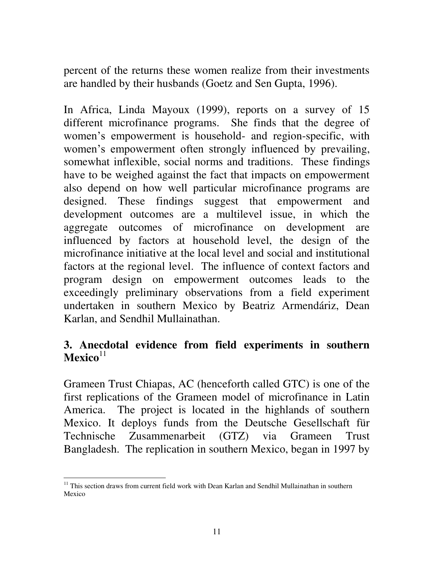percent of the returns these women realize from their investments are handled by their husbands (Goetz and Sen Gupta, 1996).

In Africa, Linda Mayoux (1999), reports on a survey of 15 different microfinance programs. She finds that the degree of women's empowerment is household- and region-specific, with women's empowerment often strongly influenced by prevailing, somewhat inflexible, social norms and traditions. These findings have to be weighed against the fact that impacts on empowerment also depend on how well particular microfinance programs are designed. These findings suggest that empowerment and development outcomes are a multilevel issue, in which the aggregate outcomes of microfinance on development are influenced by factors at household level, the design of the microfinance initiative at the local level and social and institutional factors at the regional level. The influence of context factors and program design on empowerment outcomes leads to the exceedingly preliminary observations from a field experiment undertaken in southern Mexico by Beatriz Armendáriz, Dean Karlan, and Sendhil Mullainathan.

## **3. Anecdotal evidence from field experiments in southern**   $Mexico<sup>11</sup>$

Grameen Trust Chiapas, AC (henceforth called GTC) is one of the first replications of the Grameen model of microfinance in Latin America. The project is located in the highlands of southern Mexico. It deploys funds from the Deutsche Gesellschaft für Technische Zusammenarbeit (GTZ) via Grameen Trust Bangladesh. The replication in southern Mexico, began in 1997 by

 $\overline{a}$ <sup>11</sup> This section draws from current field work with Dean Karlan and Sendhil Mullainathan in southern Mexico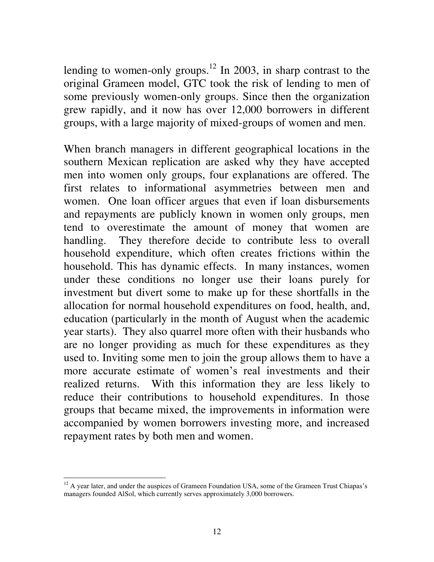lending to women-only groups.<sup>12</sup> In 2003, in sharp contrast to the original Grameen model, GTC took the risk of lending to men of some previously women-only groups. Since then the organization grew rapidly, and it now has over 12,000 borrowers in different groups, with a large majority of mixed-groups of women and men.

When branch managers in different geographical locations in the southern Mexican replication are asked why they have accepted men into women only groups, four explanations are offered. The first relates to informational asymmetries between men and women. One loan officer argues that even if loan disbursements and repayments are publicly known in women only groups, men tend to overestimate the amount of money that women are handling. They therefore decide to contribute less to overall household expenditure, which often creates frictions within the household. This has dynamic effects. In many instances, women under these conditions no longer use their loans purely for investment but divert some to make up for these shortfalls in the allocation for normal household expenditures on food, health, and, education (particularly in the month of August when the academic year starts). They also quarrel more often with their husbands who are no longer providing as much for these expenditures as they used to. Inviting some men to join the group allows them to have a more accurate estimate of women's real investments and their realized returns. With this information they are less likely to reduce their contributions to household expenditures. In those groups that became mixed, the improvements in information were accompanied by women borrowers investing more, and increased repayment rates by both men and women.

 $\overline{a}$  $12$  A year later, and under the auspices of Grameen Foundation USA, some of the Grameen Trust Chiapas's managers founded AlSol, which currently serves approximately 3,000 borrowers.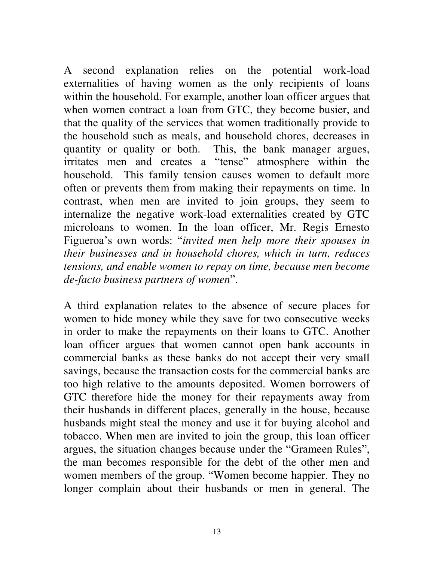A second explanation relies on the potential work-load externalities of having women as the only recipients of loans within the household. For example, another loan officer argues that when women contract a loan from GTC, they become busier, and that the quality of the services that women traditionally provide to the household such as meals, and household chores, decreases in quantity or quality or both. This, the bank manager argues, irritates men and creates a "tense" atmosphere within the household. This family tension causes women to default more often or prevents them from making their repayments on time. In contrast, when men are invited to join groups, they seem to internalize the negative work-load externalities created by GTC microloans to women. In the loan officer, Mr. Regis Ernesto Figueroa"s own words: "*invited men help more their spouses in their businesses and in household chores, which in turn, reduces tensions, and enable women to repay on time, because men become de-facto business partners of women*".

A third explanation relates to the absence of secure places for women to hide money while they save for two consecutive weeks in order to make the repayments on their loans to GTC. Another loan officer argues that women cannot open bank accounts in commercial banks as these banks do not accept their very small savings, because the transaction costs for the commercial banks are too high relative to the amounts deposited. Women borrowers of GTC therefore hide the money for their repayments away from their husbands in different places, generally in the house, because husbands might steal the money and use it for buying alcohol and tobacco. When men are invited to join the group, this loan officer argues, the situation changes because under the "Grameen Rules", the man becomes responsible for the debt of the other men and women members of the group. "Women become happier. They no longer complain about their husbands or men in general. The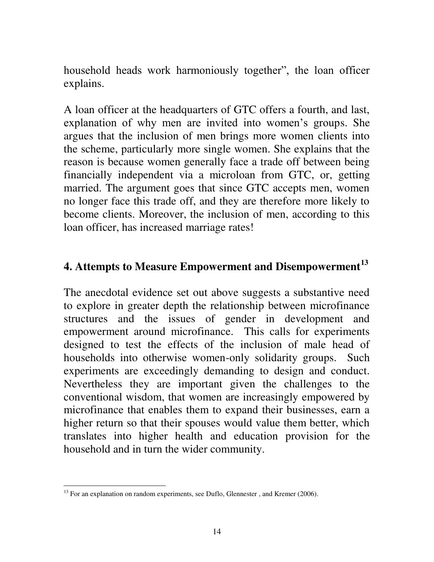household heads work harmoniously together", the loan officer explains.

A loan officer at the headquarters of GTC offers a fourth, and last, explanation of why men are invited into women's groups. She argues that the inclusion of men brings more women clients into the scheme, particularly more single women. She explains that the reason is because women generally face a trade off between being financially independent via a microloan from GTC, or, getting married. The argument goes that since GTC accepts men, women no longer face this trade off, and they are therefore more likely to become clients. Moreover, the inclusion of men, according to this loan officer, has increased marriage rates!

## **4. Attempts to Measure Empowerment and Disempowerment<sup>13</sup>**

The anecdotal evidence set out above suggests a substantive need to explore in greater depth the relationship between microfinance structures and the issues of gender in development and empowerment around microfinance. This calls for experiments designed to test the effects of the inclusion of male head of households into otherwise women-only solidarity groups. Such experiments are exceedingly demanding to design and conduct. Nevertheless they are important given the challenges to the conventional wisdom, that women are increasingly empowered by microfinance that enables them to expand their businesses, earn a higher return so that their spouses would value them better, which translates into higher health and education provision for the household and in turn the wider community.

 $\overline{a}$  $^{13}$  For an explanation on random experiments, see Duflo, Glennester, and Kremer (2006).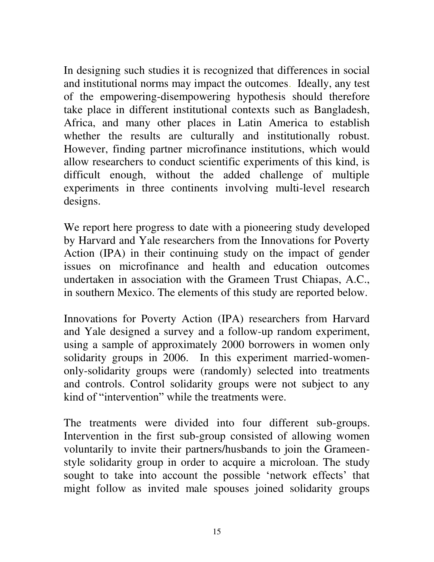In designing such studies it is recognized that differences in social and institutional norms may impact the outcomes. Ideally, any test of the empowering-disempowering hypothesis should therefore take place in different institutional contexts such as Bangladesh, Africa, and many other places in Latin America to establish whether the results are culturally and institutionally robust. However, finding partner microfinance institutions, which would allow researchers to conduct scientific experiments of this kind, is difficult enough, without the added challenge of multiple experiments in three continents involving multi-level research designs.

We report here progress to date with a pioneering study developed by Harvard and Yale researchers from the Innovations for Poverty Action (IPA) in their continuing study on the impact of gender issues on microfinance and health and education outcomes undertaken in association with the Grameen Trust Chiapas, A.C., in southern Mexico. The elements of this study are reported below.

Innovations for Poverty Action (IPA) researchers from Harvard and Yale designed a survey and a follow-up random experiment, using a sample of approximately 2000 borrowers in women only solidarity groups in 2006. In this experiment married-womenonly-solidarity groups were (randomly) selected into treatments and controls. Control solidarity groups were not subject to any kind of "intervention" while the treatments were.

The treatments were divided into four different sub-groups. Intervention in the first sub-group consisted of allowing women voluntarily to invite their partners/husbands to join the Grameenstyle solidarity group in order to acquire a microloan. The study sought to take into account the possible 'network effects' that might follow as invited male spouses joined solidarity groups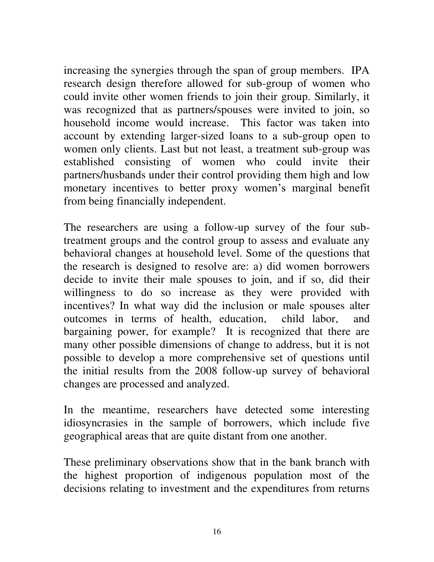increasing the synergies through the span of group members. IPA research design therefore allowed for sub-group of women who could invite other women friends to join their group. Similarly, it was recognized that as partners/spouses were invited to join, so household income would increase. This factor was taken into account by extending larger-sized loans to a sub-group open to women only clients. Last but not least, a treatment sub-group was established consisting of women who could invite their partners/husbands under their control providing them high and low monetary incentives to better proxy women's marginal benefit from being financially independent.

The researchers are using a follow-up survey of the four subtreatment groups and the control group to assess and evaluate any behavioral changes at household level. Some of the questions that the research is designed to resolve are: a) did women borrowers decide to invite their male spouses to join, and if so, did their willingness to do so increase as they were provided with incentives? In what way did the inclusion or male spouses alter outcomes in terms of health, education, child labor, and bargaining power, for example? It is recognized that there are many other possible dimensions of change to address, but it is not possible to develop a more comprehensive set of questions until the initial results from the 2008 follow-up survey of behavioral changes are processed and analyzed.

In the meantime, researchers have detected some interesting idiosyncrasies in the sample of borrowers, which include five geographical areas that are quite distant from one another.

These preliminary observations show that in the bank branch with the highest proportion of indigenous population most of the decisions relating to investment and the expenditures from returns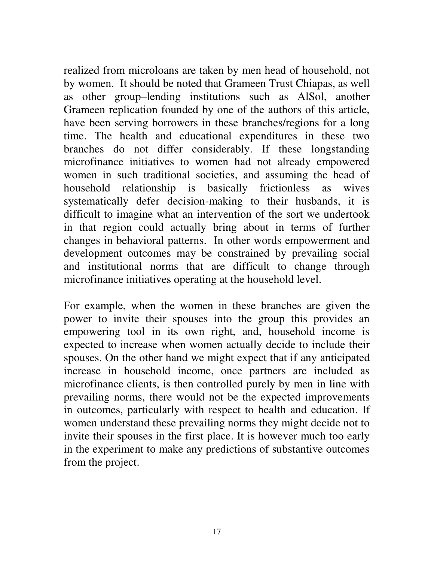realized from microloans are taken by men head of household, not by women. It should be noted that Grameen Trust Chiapas, as well as other group–lending institutions such as AlSol, another Grameen replication founded by one of the authors of this article, have been serving borrowers in these branches/regions for a long time. The health and educational expenditures in these two branches do not differ considerably. If these longstanding microfinance initiatives to women had not already empowered women in such traditional societies, and assuming the head of household relationship is basically frictionless as wives systematically defer decision-making to their husbands, it is difficult to imagine what an intervention of the sort we undertook in that region could actually bring about in terms of further changes in behavioral patterns. In other words empowerment and development outcomes may be constrained by prevailing social and institutional norms that are difficult to change through microfinance initiatives operating at the household level.

For example, when the women in these branches are given the power to invite their spouses into the group this provides an empowering tool in its own right, and, household income is expected to increase when women actually decide to include their spouses. On the other hand we might expect that if any anticipated increase in household income, once partners are included as microfinance clients, is then controlled purely by men in line with prevailing norms, there would not be the expected improvements in outcomes, particularly with respect to health and education. If women understand these prevailing norms they might decide not to invite their spouses in the first place. It is however much too early in the experiment to make any predictions of substantive outcomes from the project.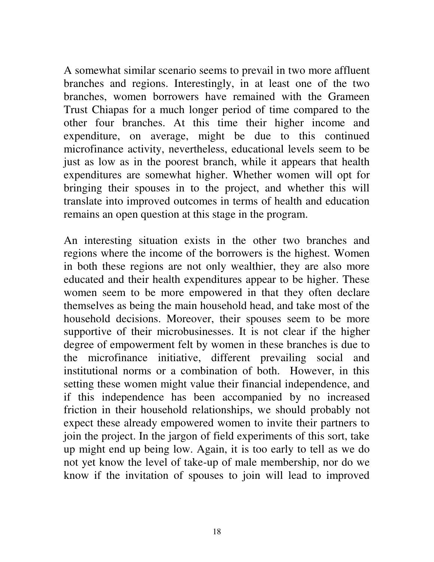A somewhat similar scenario seems to prevail in two more affluent branches and regions. Interestingly, in at least one of the two branches, women borrowers have remained with the Grameen Trust Chiapas for a much longer period of time compared to the other four branches. At this time their higher income and expenditure, on average, might be due to this continued microfinance activity, nevertheless, educational levels seem to be just as low as in the poorest branch, while it appears that health expenditures are somewhat higher. Whether women will opt for bringing their spouses in to the project, and whether this will translate into improved outcomes in terms of health and education remains an open question at this stage in the program.

An interesting situation exists in the other two branches and regions where the income of the borrowers is the highest. Women in both these regions are not only wealthier, they are also more educated and their health expenditures appear to be higher. These women seem to be more empowered in that they often declare themselves as being the main household head, and take most of the household decisions. Moreover, their spouses seem to be more supportive of their microbusinesses. It is not clear if the higher degree of empowerment felt by women in these branches is due to the microfinance initiative, different prevailing social and institutional norms or a combination of both. However, in this setting these women might value their financial independence, and if this independence has been accompanied by no increased friction in their household relationships, we should probably not expect these already empowered women to invite their partners to join the project. In the jargon of field experiments of this sort, take up might end up being low. Again, it is too early to tell as we do not yet know the level of take-up of male membership, nor do we know if the invitation of spouses to join will lead to improved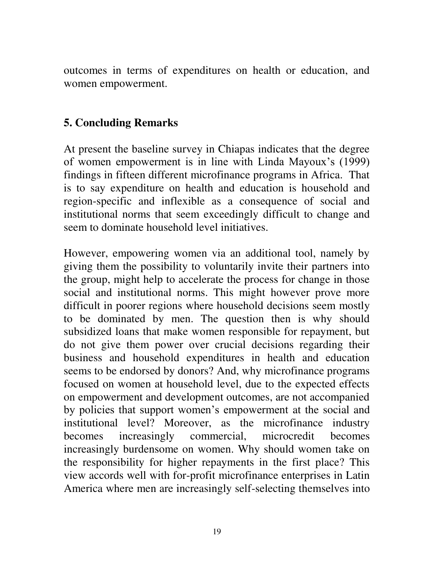outcomes in terms of expenditures on health or education, and women empowerment.

#### **5. Concluding Remarks**

At present the baseline survey in Chiapas indicates that the degree of women empowerment is in line with Linda Mayoux"s (1999) findings in fifteen different microfinance programs in Africa. That is to say expenditure on health and education is household and region-specific and inflexible as a consequence of social and institutional norms that seem exceedingly difficult to change and seem to dominate household level initiatives.

However, empowering women via an additional tool, namely by giving them the possibility to voluntarily invite their partners into the group, might help to accelerate the process for change in those social and institutional norms. This might however prove more difficult in poorer regions where household decisions seem mostly to be dominated by men. The question then is why should subsidized loans that make women responsible for repayment, but do not give them power over crucial decisions regarding their business and household expenditures in health and education seems to be endorsed by donors? And, why microfinance programs focused on women at household level, due to the expected effects on empowerment and development outcomes, are not accompanied by policies that support women"s empowerment at the social and institutional level? Moreover, as the microfinance industry becomes increasingly commercial, microcredit becomes increasingly burdensome on women. Why should women take on the responsibility for higher repayments in the first place? This view accords well with for-profit microfinance enterprises in Latin America where men are increasingly self-selecting themselves into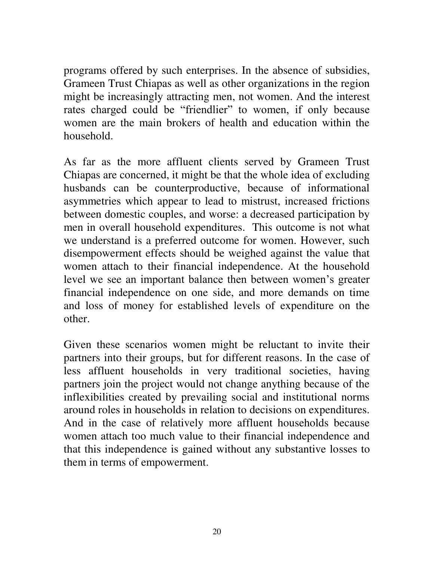programs offered by such enterprises. In the absence of subsidies, Grameen Trust Chiapas as well as other organizations in the region might be increasingly attracting men, not women. And the interest rates charged could be "friendlier" to women, if only because women are the main brokers of health and education within the household.

As far as the more affluent clients served by Grameen Trust Chiapas are concerned, it might be that the whole idea of excluding husbands can be counterproductive, because of informational asymmetries which appear to lead to mistrust, increased frictions between domestic couples, and worse: a decreased participation by men in overall household expenditures. This outcome is not what we understand is a preferred outcome for women. However, such disempowerment effects should be weighed against the value that women attach to their financial independence. At the household level we see an important balance then between women"s greater financial independence on one side, and more demands on time and loss of money for established levels of expenditure on the other.

Given these scenarios women might be reluctant to invite their partners into their groups, but for different reasons. In the case of less affluent households in very traditional societies, having partners join the project would not change anything because of the inflexibilities created by prevailing social and institutional norms around roles in households in relation to decisions on expenditures. And in the case of relatively more affluent households because women attach too much value to their financial independence and that this independence is gained without any substantive losses to them in terms of empowerment.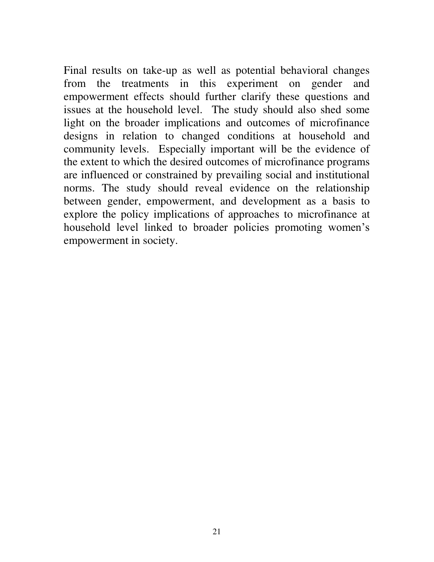Final results on take-up as well as potential behavioral changes from the treatments in this experiment on gender and empowerment effects should further clarify these questions and issues at the household level. The study should also shed some light on the broader implications and outcomes of microfinance designs in relation to changed conditions at household and community levels. Especially important will be the evidence of the extent to which the desired outcomes of microfinance programs are influenced or constrained by prevailing social and institutional norms. The study should reveal evidence on the relationship between gender, empowerment, and development as a basis to explore the policy implications of approaches to microfinance at household level linked to broader policies promoting women's empowerment in society.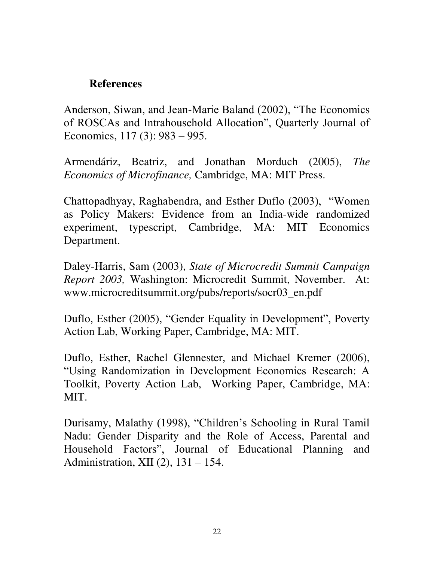#### **References**

Anderson, Siwan, and Jean-Marie Baland (2002), "The Economics of ROSCAs and Intrahousehold Allocation", Quarterly Journal of Economics, 117 (3): 983 – 995.

Armendáriz, Beatriz, and Jonathan Morduch (2005), *The Economics of Microfinance,* Cambridge, MA: MIT Press.

Chattopadhyay, Raghabendra, and Esther Duflo (2003), "Women as Policy Makers: Evidence from an India-wide randomized experiment, typescript, Cambridge, MA: MIT Economics Department.

Daley-Harris, Sam (2003), *State of Microcredit Summit Campaign Report 2003,* Washington: Microcredit Summit, November. At: www.microcreditsummit.org/pubs/reports/socr03\_en.pdf

Duflo, Esther (2005), "Gender Equality in Development", Poverty Action Lab, Working Paper, Cambridge, MA: MIT.

Duflo, Esther, Rachel Glennester, and Michael Kremer (2006), "Using Randomization in Development Economics Research: A Toolkit, Poverty Action Lab, Working Paper, Cambridge, MA: MIT.

Durisamy, Malathy (1998), "Children"s Schooling in Rural Tamil Nadu: Gender Disparity and the Role of Access, Parental and Household Factors", Journal of Educational Planning and Administration, XII (2), 131 – 154.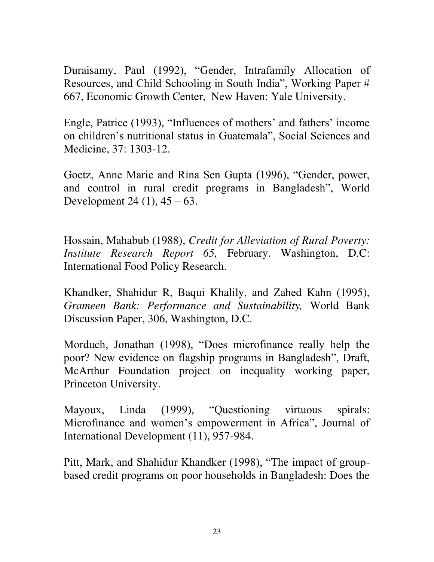Duraisamy, Paul (1992), "Gender, Intrafamily Allocation of Resources, and Child Schooling in South India", Working Paper # 667, Economic Growth Center, New Haven: Yale University.

Engle, Patrice (1993), "Influences of mothers' and fathers' income on children"s nutritional status in Guatemala", Social Sciences and Medicine, 37: 1303-12.

Goetz, Anne Marie and Rina Sen Gupta (1996), "Gender, power, and control in rural credit programs in Bangladesh", World Development 24  $(1)$ , 45 – 63.

Hossain, Mahabub (1988), *Credit for Alleviation of Rural Poverty: Institute Research Report 65,* February. Washington, D.C: International Food Policy Research.

Khandker, Shahidur R, Baqui Khalily, and Zahed Kahn (1995), *Grameen Bank: Performance and Sustainability,* World Bank Discussion Paper, 306, Washington, D.C.

Morduch, Jonathan (1998), "Does microfinance really help the poor? New evidence on flagship programs in Bangladesh", Draft, McArthur Foundation project on inequality working paper, Princeton University.

Mayoux, Linda (1999), "Questioning virtuous spirals: Microfinance and women"s empowerment in Africa", Journal of International Development (11), 957-984.

Pitt, Mark, and Shahidur Khandker (1998), "The impact of groupbased credit programs on poor households in Bangladesh: Does the